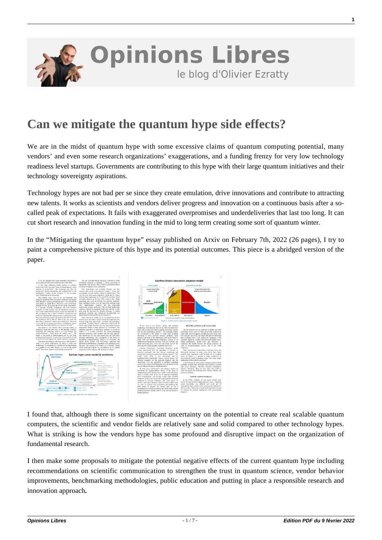

# **[Can we mitigate the quantum hype side effects?](https://www.oezratty.net/wordpress/2022/can-we-mitigate-the-quantum-hype-side-effects/)**

We are in the midst of quantum hype with some excessive claims of quantum computing potential, many vendors' and even some research organizations' exaggerations, and a funding frenzy for very low technology readiness level startups. Governments are contributing to this hype with their large quantum initiatives and their technology sovereignty aspirations.

Technology hypes are not bad per se since they create emulation, drive innovations and contribute to attracting new talents. It works as scientists and vendors deliver progress and innovation on a continuous basis after a socalled peak of expectations. It fails with exaggerated overpromises and underdeliveries that last too long. It can cut short research and innovation funding in the mid to long term creating some sort of quantum winter.

In the "**[Mitigating the quantum hype](https://arxiv.org/abs/2202.01925)**" essay published on Arxiv on February 7th, 2022 (26 pages), I try to paint a comprehensive picture of this hype and its potential outcomes. This piece is a abridged version of the paper.



I found that, although there is some significant uncertainty on the potential to create real scalable quantum computers, the scientific and vendor fields are relatively sane and solid compared to other technology hypes. What is striking is how the vendors hype has some profound and disruptive impact on the organization of fundamental research.

I then make some proposals to mitigate the potential negative effects of the current quantum hype including recommendations on scientific communication to strengthen the trust in quantum science, vendor behavior improvements, benchmarking methodologies, public education and putting in place a responsible research and innovation approach**.**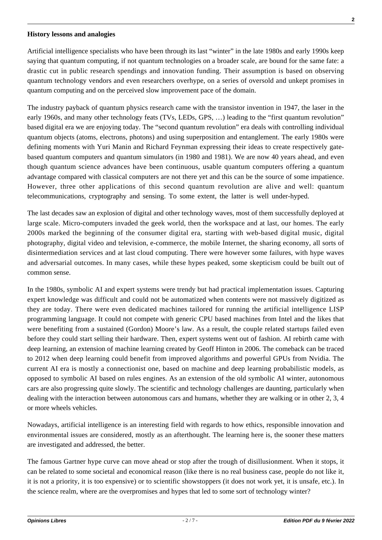#### **History lessons and analogies**

Artificial intelligence specialists who have been through its last "winter" in the late 1980s and early 1990s keep saying that quantum computing, if not quantum technologies on a broader scale, are bound for the same fate: a drastic cut in public research spendings and innovation funding. Their assumption is based on observing quantum technology vendors and even researchers overhype, on a series of oversold and unkept promises in quantum computing and on the perceived slow improvement pace of the domain.

The industry payback of quantum physics research came with the transistor invention in 1947, the laser in the early 1960s, and many other technology feats (TVs, LEDs, GPS, …) leading to the "first quantum revolution" based digital era we are enjoying today. The "second quantum revolution" era deals with controlling individual quantum objects (atoms, electrons, photons) and using superposition and entanglement. The early 1980s were defining moments with Yuri Manin and Richard Feynman expressing their ideas to create respectively gatebased quantum computers and quantum simulators (in 1980 and 1981). We are now 40 years ahead, and even though quantum science advances have been continuous, usable quantum computers offering a quantum advantage compared with classical computers are not there yet and this can be the source of some impatience. However, three other applications of this second quantum revolution are alive and well: quantum telecommunications, cryptography and sensing. To some extent, the latter is well under-hyped.

The last decades saw an explosion of digital and other technology waves, most of them successfully deployed at large scale. Micro-computers invaded the geek world, then the workspace and at last, our homes. The early 2000s marked the beginning of the consumer digital era, starting with web-based digital music, digital photography, digital video and television, e-commerce, the mobile Internet, the sharing economy, all sorts of disintermediation services and at last cloud computing. There were however some failures, with hype waves and adversarial outcomes. In many cases, while these hypes peaked, some skepticism could be built out of common sense.

In the 1980s, symbolic AI and expert systems were trendy but had practical implementation issues. Capturing expert knowledge was difficult and could not be automatized when contents were not massively digitized as they are today. There were even dedicated machines tailored for running the artificial intelligence LISP programming language. It could not compete with generic CPU based machines from Intel and the likes that were benefiting from a sustained (Gordon) Moore's law. As a result, the couple related startups failed even before they could start selling their hardware. Then, expert systems went out of fashion. AI rebirth came with deep learning, an extension of machine learning created by Geoff Hinton in 2006. The comeback can be traced to 2012 when deep learning could benefit from improved algorithms and powerful GPUs from Nvidia. The current AI era is mostly a connectionist one, based on machine and deep learning probabilistic models, as opposed to symbolic AI based on rules engines. As an extension of the old symbolic AI winter, autonomous cars are also progressing quite slowly. The scientific and technology challenges are daunting, particularly when dealing with the interaction between autonomous cars and humans, whether they are walking or in other 2, 3, 4 or more wheels vehicles.

Nowadays, artificial intelligence is an interesting field with regards to how ethics, responsible innovation and environmental issues are considered, mostly as an afterthought. The learning here is, the sooner these matters are investigated and addressed, the better.

The famous Gartner hype curve can move ahead or stop after the trough of disillusionment. When it stops, it can be related to some societal and economical reason (like there is no real business case, people do not like it, it is not a priority, it is too expensive) or to scientific showstoppers (it does not work yet, it is unsafe, etc.). In the science realm, where are the overpromises and hypes that led to some sort of technology winter?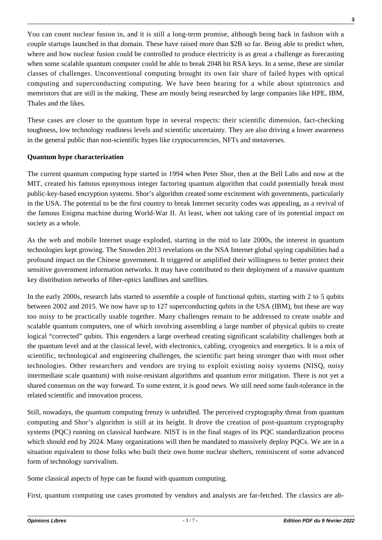You can count nuclear fusion in, and it is still a long-term promise, although being back in fashion with a couple startups launched in that domain. These have raised more than \$2B so far. Being able to predict when, where and how nuclear fusion could be controlled to produce electricity is as great a challenge as forecasting when some scalable quantum computer could be able to break 2048 bit RSA keys. In a sense, these are similar classes of challenges. Unconventional computing brought its own fair share of failed hypes with optical computing and superconducting computing. We have been hearing for a while about spintronics and memristors that are still in the making. These are mostly being researched by large companies like HPE, IBM, Thales and the likes.

These cases are closer to the quantum hype in several respects: their scientific dimension, fact-checking toughness, low technology readiness levels and scientific uncertainty. They are also driving a lower awareness in the general public than non-scientific hypes like cryptocurrencies, NFTs and metaverses.

### **Quantum hype characterization**

The current quantum computing hype started in 1994 when Peter Shor, then at the Bell Labs and now at the MIT, created his famous eponymous integer factoring quantum algorithm that could potentially break most public-key-based encryption systems. Shor's algorithm created some excitement with governments, particularly in the USA. The potential to be the first country to break Internet security codes was appealing, as a revival of the famous Enigma machine during World-War II. At least, when not taking care of its potential impact on society as a whole.

As the web and mobile Internet usage exploded, starting in the mid to late 2000s, the interest in quantum technologies kept growing. The Snowden 2013 revelations on the NSA Internet global spying capabilities had a profound impact on the Chinese government. It triggered or amplified their willingness to better protect their sensitive government information networks. It may have contributed to their deployment of a massive quantum key distribution networks of fiber-optics landlines and satellites.

In the early 2000s, research labs started to assemble a couple of functional qubits, starting with 2 to 5 qubits between 2002 and 2015. We now have up to 127 superconducting qubits in the USA (IBM), but these are way too noisy to be practically usable together. Many challenges remain to be addressed to create usable and scalable quantum computers, one of which involving assembling a large number of physical qubits to create logical "corrected" qubits. This engenders a large overhead creating significant scalability challenges both at the quantum level and at the classical level, with electronics, cabling, cryogenics and energetics. It is a mix of scientific, technological and engineering challenges, the scientific part being stronger than with most other technologies. Other researchers and vendors are trying to exploit existing noisy systems (NISQ, noisy intermediate scale quantum) with noise-resistant algorithms and quantum error mitigation. There is not yet a shared consensus on the way forward. To some extent, it is good news. We still need some fault-tolerance in the related scientific and innovation process.

Still, nowadays, the quantum computing frenzy is unbridled. The perceived cryptography threat from quantum computing and Shor's algorithm is still at its height. It drove the creation of post-quantum cryptography systems (PQC) running on classical hardware. NIST is in the final stages of its PQC standardization process which should end by 2024. Many organizations will then be mandated to massively deploy PQCs. We are in a situation equivalent to those folks who built their own home nuclear shelters, reminiscent of some advanced form of technology survivalism.

Some classical aspects of hype can be found with quantum computing.

First, quantum computing use cases promoted by vendors and analysts are far-fetched. The classics are ab-

**3**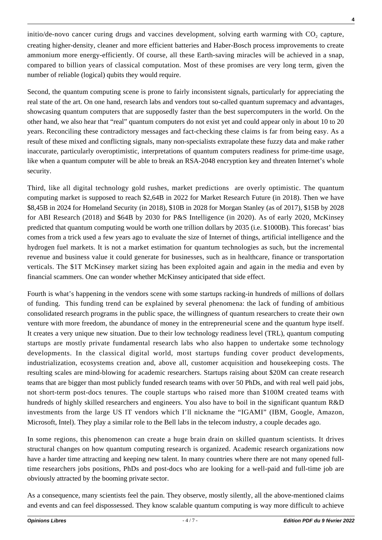initio/de-novo cancer curing drugs and vaccines development, solving earth warming with  $CO_2$  capture, creating higher-density, cleaner and more efficient batteries and Haber-Bosch process improvements to create ammonium more energy-efficiently. Of course, all these Earth-saving miracles will be achieved in a snap, compared to billion years of classical computation. Most of these promises are very long term, given the number of reliable (logical) qubits they would require.

Second, the quantum computing scene is prone to fairly inconsistent signals, particularly for appreciating the real state of the art. On one hand, research labs and vendors tout so-called quantum supremacy and advantages, showcasing quantum computers that are supposedly faster than the best supercomputers in the world. On the other hand, we also hear that "real" quantum computers do not exist yet and could appear only in about 10 to 20 years. Reconciling these contradictory messages and fact-checking these claims is far from being easy. As a result of these mixed and conflicting signals, many non-specialists extrapolate these fuzzy data and make rather inaccurate, particularly overoptimistic, interpretations of quantum computers readiness for prime-time usage, like when a quantum computer will be able to break an RSA-2048 encryption key and threaten Internet's whole security.

Third, like all digital technology gold rushes, market predictions are overly optimistic. The quantum computing market is supposed to reach \$2,64B in 2022 for Market Research Future (in 2018). Then we have \$8,45B in 2024 for Homeland Security (in 2018), \$10B in 2028 for Morgan Stanley (as of 2017), \$15B by 2028 for ABI Research (2018) and \$64B by 2030 for P&S Intelligence (in 2020). As of early 2020, McKinsey predicted that quantum computing would be worth one trillion dollars by 2035 (i.e. \$1000B). This forecast' bias comes from a trick used a few years ago to evaluate the size of Internet of things, artificial intelligence and the hydrogen fuel markets. It is not a market estimation for quantum technologies as such, but the incremental revenue and business value it could generate for businesses, such as in healthcare, finance or transportation verticals. The \$1T McKinsey market sizing has been exploited again and again in the media and even by financial scammers. One can wonder whether McKinsey anticipated that side effect.

Fourth is what's happening in the vendors scene with some startups racking-in hundreds of millions of dollars of funding. This funding trend can be explained by several phenomena: the lack of funding of ambitious consolidated research programs in the public space, the willingness of quantum researchers to create their own venture with more freedom, the abundance of money in the entrepreneurial scene and the quantum hype itself. It creates a very unique new situation. Due to their low technology readiness level (TRL), quantum computing startups are mostly private fundamental research labs who also happen to undertake some technology developments. In the classical digital world, most startups funding cover product developments, industrialization, ecosystems creation and, above all, customer acquisition and housekeeping costs. The resulting scales are mind-blowing for academic researchers. Startups raising about \$20M can create research teams that are bigger than most publicly funded research teams with over 50 PhDs, and with real well paid jobs, not short-term post-docs tenures. The couple startups who raised more than \$100M created teams with hundreds of highly skilled researchers and engineers. You also have to boil in the significant quantum R&D investments from the large US IT vendors which I'll nickname the "IGAMI" (IBM, Google, Amazon, Microsoft, Intel). They play a similar role to the Bell labs in the telecom industry, a couple decades ago.

In some regions, this phenomenon can create a huge brain drain on skilled quantum scientists. It drives structural changes on how quantum computing research is organized. Academic research organizations now have a harder time attracting and keeping new talent. In many countries where there are not many opened fulltime researchers jobs positions, PhDs and post-docs who are looking for a well-paid and full-time job are obviously attracted by the booming private sector.

As a consequence, many scientists feel the pain. They observe, mostly silently, all the above-mentioned claims and events and can feel dispossessed. They know scalable quantum computing is way more difficult to achieve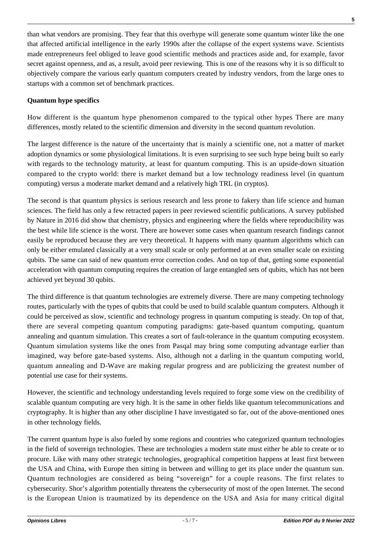than what vendors are promising. They fear that this overhype will generate some quantum winter like the one that affected artificial intelligence in the early 1990s after the collapse of the expert systems wave. Scientists made entrepreneurs feel obliged to leave good scientific methods and practices aside and, for example, favor secret against openness, and as, a result, avoid peer reviewing. This is one of the reasons why it is so difficult to objectively compare the various early quantum computers created by industry vendors, from the large ones to startups with a common set of benchmark practices.

## **Quantum hype specifics**

How different is the quantum hype phenomenon compared to the typical other hypes There are many differences, mostly related to the scientific dimension and diversity in the second quantum revolution.

The largest difference is the nature of the uncertainty that is mainly a scientific one, not a matter of market adoption dynamics or some physiological limitations. It is even surprising to see such hype being built so early with regards to the technology maturity, at least for quantum computing. This is an upside-down situation compared to the crypto world: there is market demand but a low technology readiness level (in quantum computing) versus a moderate market demand and a relatively high TRL (in cryptos).

The second is that quantum physics is serious research and less prone to fakery than life science and human sciences. The field has only a few retracted papers in peer reviewed scientific publications. A survey published by Nature in 2016 did show that chemistry, physics and engineering where the fields where reproducibility was the best while life science is the worst. There are however some cases when quantum research findings cannot easily be reproduced because they are very theoretical. It happens with many quantum algorithms which can only be either emulated classically at a very small scale or only performed at an even smaller scale on existing qubits. The same can said of new quantum error correction codes. And on top of that, getting some exponential acceleration with quantum computing requires the creation of large entangled sets of qubits, which has not been achieved yet beyond 30 qubits.

The third difference is that quantum technologies are extremely diverse. There are many competing technology routes, particularly with the types of qubits that could be used to build scalable quantum computers. Although it could be perceived as slow, scientific and technology progress in quantum computing is steady. On top of that, there are several competing quantum computing paradigms: gate-based quantum computing, quantum annealing and quantum simulation. This creates a sort of fault-tolerance in the quantum computing ecosystem. Quantum simulation systems like the ones from Pasqal may bring some computing advantage earlier than imagined, way before gate-based systems. Also, although not a darling in the quantum computing world, quantum annealing and D-Wave are making regular progress and are publicizing the greatest number of potential use case for their systems.

However, the scientific and technology understanding levels required to forge some view on the credibility of scalable quantum computing are very high. It is the same in other fields like quantum telecommunications and cryptography. It is higher than any other discipline I have investigated so far, out of the above-mentioned ones in other technology fields.

The current quantum hype is also fueled by some regions and countries who categorized quantum technologies in the field of sovereign technologies. These are technologies a modern state must either be able to create or to procure. Like with many other strategic technologies, geographical competition happens at least first between the USA and China, with Europe then sitting in between and willing to get its place under the quantum sun. Quantum technologies are considered as being "sovereign" for a couple reasons. The first relates to cybersecurity. Shor's algorithm potentially threatens the cybersecurity of most of the open Internet. The second is the European Union is traumatized by its dependence on the USA and Asia for many critical digital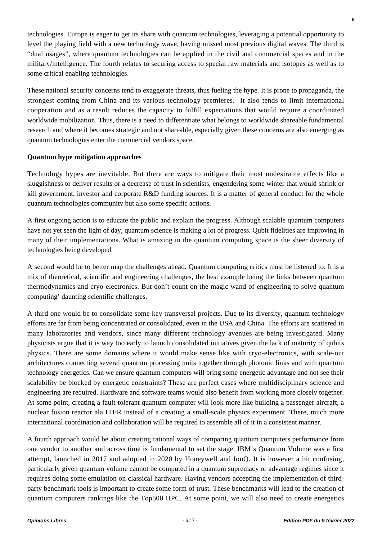technologies. Europe is eager to get its share with quantum technologies, leveraging a potential opportunity to level the playing field with a new technology wave, having missed most previous digital waves. The third is "dual usages", where quantum technologies can be applied in the civil and commercial spaces and in the military/intelligence. The fourth relates to securing access to special raw materials and isotopes as well as to some critical enabling technologies.

These national security concerns tend to exaggerate threats, thus fueling the hype. It is prone to propaganda, the strongest coming from China and its various technology premieres. It also tends to limit international cooperation and as a result reduces the capacity to fulfill expectations that would require a coordinated worldwide mobilization. Thus, there is a need to differentiate what belongs to worldwide shareable fundamental research and where it becomes strategic and not shareable, especially given these concerns are also emerging as quantum technologies enter the commercial vendors space.

### **Quantum hype mitigation approaches**

Technology hypes are inevitable. But there are ways to mitigate their most undesirable effects like a sluggishness to deliver results or a decrease of trust in scientists, engendering some winter that would shrink or kill government, investor and corporate R&D funding sources. It is a matter of general conduct for the whole quantum technologies community but also some specific actions.

A first ongoing action is to educate the public and explain the progress. Although scalable quantum computers have not yet seen the light of day, quantum science is making a lot of progress. Qubit fidelities are improving in many of their implementations. What is amazing in the quantum computing space is the sheer diversity of technologies being developed.

A second would be to better map the challenges ahead. Quantum computing critics must be listened to. It is a mix of theoretical, scientific and engineering challenges, the best example being the links between quantum thermodynamics and cryo-electronics. But don't count on the magic wand of engineering to solve quantum computing' daunting scientific challenges.

A third one would be to consolidate some key transversal projects. Due to its diversity, quantum technology efforts are far from being concentrated or consolidated, even in the USA and China. The efforts are scattered in many laboratories and vendors, since many different technology avenues are being investigated. Many physicists argue that it is way too early to launch consolidated initiatives given the lack of maturity of qubits physics. There are some domains where it would make sense like with cryo-electronics, with scale-out architectures connecting several quantum processing units together through photonic links and with quantum technology energetics. Can we ensure quantum computers will bring some energetic advantage and not see their scalability be blocked by energetic constraints? These are perfect cases where multidisciplinary science and engineering are required. Hardware and software teams would also benefit from working more closely together. At some point, creating a fault-tolerant quantum computer will look more like building a passenger aircraft, a nuclear fusion reactor ala ITER instead of a creating a small-scale physics experiment. There, much more international coordination and collaboration will be required to assemble all of it in a consistent manner.

A fourth approach would be about creating rational ways of comparing quantum computers performance from one vendor to another and across time is fundamental to set the stage. IBM's Quantum Volume was a first attempt, launched in 2017 and adopted in 2020 by Honeywell and IonQ. It is however a bit confusing, particularly given quantum volume cannot be computed in a quantum supremacy or advantage regimes since it requires doing some emulation on classical hardware. Having vendors accepting the implementation of thirdparty benchmark tools is important to create some form of trust. These benchmarks will lead to the creation of quantum computers rankings like the Top500 HPC. At some point, we will also need to create energetics